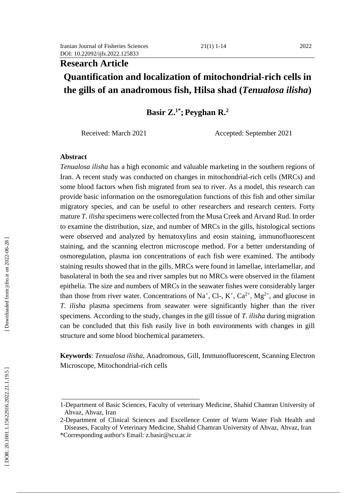#### 2 1 ( 1) 1 - 1

#### 4 202 2022

# **Research Article**

# **Quantification and localization of mitochondrial -rich cells in the gills of an anadromous fish, Hilsa shad (***[Tenualosa ilisha](https://onlinelibrary.wiley.com/doi/abs/10.1111/faf.12323)* **)**

# **Basir Z . 1\* ; Peyghan R . 2**

Received: March 2021 Accepted: September 2021

# **Abstract**

*Tenualosa ilisha* has a high economic and valuable marketing in the southern region s of Iran. A recent study was conducted on changes in mitochondrial-rich cells (MRCs) and some blood factors when fish migrated from sea to river. As a model, this research can provide basic information on the osmoregulation functions of this fish and other similar migratory species, and can be useful to other researchers and research centers. Forty mature *T. ilisha* specimens were collected from the Musa Creek and Arvand Rud. In order to examine the distribution, size, and number of MRCs in the gills, histological sections were observed and analyzed by hematoxylins and eosin staining, immunofluorescent staining, and the scanning electron microscope method. For a better understanding of osmoregulation, plasma ion concentrations of each fish were examined. The antibody staining results showed that in the gills, MRCs were found in lamellae, interlamellar, and basolateral in both the sea and river samples but no MRCs were observed in the filament epithelia. The size and numbers of MRCs in the seawater fishes were considerably larger than those from river water. Concentrations of Na<sup>+</sup>, Cl-, K<sup>+</sup>, Ca<sup>2+</sup>, Mg<sup>2+</sup>, and glucose in *T. ilisha* plasma specimens from seawater were significantly higher than the river specimens. According to the study, changes in the gill tissue of *T. ilisha* during migration can be concluded that this fish easily live in both environments with changes in gill structure and some blood biochemical parameters.

**Keywords**: *Tenualosa ilisha*, Anadromous, Gill , Immunofluorescent, Scanning Electron Microscope, Mitochondrial -rich cells

<sup>1</sup> -Department of Basic Sciences, Faculty of veterinary Medicine, Shahid Chamran University of Ahvaz, Ahvaz, Iran

<sup>2</sup> -Department of Clinical Sciences and Excellence Center of Warm Water Fish Health and Diseases, Faculty of Veterinary Medicine, Shahid Chamran University of Ahvaz, Ahvaz, Iran

<sup>\*</sup>Corresponding author's Email: [z.basir@scu.ac.ir](mailto:z.basir@scu.ac.ir)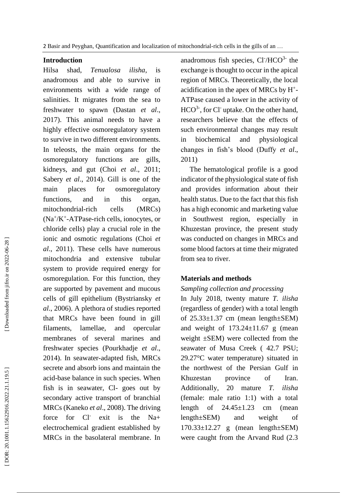#### **Introduction**

Hilsa shad, *Tenualosa ilisha*, is anadromous and able to survive in environments with a wide range of salinities. It migrates from the sea to freshwater to spawn (Dastan *et al*., 2017). This animal needs to have a highly effective osmoregulatory system to survive in two different environments. In teleosts, the main organs for the osmoregulatory functions are gills, kidneys, and gut (Choi *et al* . , 2011; Sabery *et al*., 2014). Gill is one of the main places for osmoregulatory functions, and in this organ, mitochondrial  $cells$  (MRCs) (Na + /K + -ATPase -rich cells, ionocytes, or chloride cells) play a crucial role in the ionic and osmotic regulations (Choi *et al* . , 2011). These cells have numerous mitochondria and extensive tubular system to provide required energy for osmoregulation. For this function, they are supported by pavement and mucous cells of gill epithelium (Bystriansky *et al* . , 2006). A plethora of studies reported that MRCs have been found in gill filaments, lamellae, and opercular membranes of several marines and freshwater species (Pourkhadje *et al* . , 2014). In seawater -adapted fish, MRCs secrete and absorb ions and maintain the acid -base balance in such species. When fish is in seawater, Cl- goes out by secondary active transport of branchial MRCs (Kaneko *et al*., 2008). The driving force for Cl exit is the Na+ electrochemical gradient established by MRCs in the basolateral membrane. In

anadromous fish species, Cl<sup>-</sup>/HCO<sup>3-</sup> the exchange is thought to occur in the apical region of MRCs. Theoretically, the local acidification in the apex of MRCs by H + - ATPase caused a lower in the activity of  $HCO<sup>3</sup>$ , for Cl uptake. On the other hand, researchers believe that the effects of such environmental changes may result in biochemical and physiological changes in fish's blood (Duffy *et al*., 2011)

 The hematological profile is a good indicator of the physiological state of fish and provides information about their health status. Due to the fact that this fish has a high economic and marketing value in Southwest region, especially in Khuzestan province, the present study was conducted on changes in MRCs and some blood factors at time their migrated from sea to river.

#### **Materials and methods**

#### *Sampling collection and processing*

In July 201 8, twenty mature *T. ilisha* (regardless of gender) with a total length of  $25.33 \pm 1.37$  cm (mean length $\pm$ SEM) and weight of  $173.24 \pm 11.67$  g (mean weight ±SE M) were collected from the seawater of Musa Creek ( 42.7 PSU; 29.27°C water temperature) situated in the northwest of the Persian Gulf in Khuzestan province of Iran. Additionally, 20 mature *T. ilisha* (female: male ratio 1:1) with a total length of  $24.45 \pm 1.23$  cm mean length±SE and weight of 170.33±12.27 g ( mean length±SE M) were caught from the Arvand Rud (2.3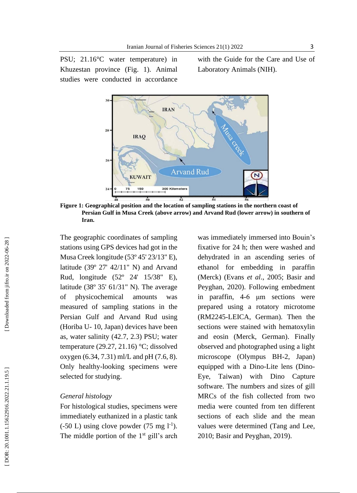PSU; 21.16°C water temperature) in Khuzestan province (Fig . 1). Animal studies were conducted in accordance

with the Guide for the Care and Use of Laboratory Animals (NIH).



**Figure 1: Geographical position and the location of sampling stations in the northern coast of Persian Gulf in Musa Creek (above arrow) and Arvand Rud (lower arrow) in southern of Iran .**

The geographic coordinates of sampling stations using GPS devices had got in the Musa Creek longitude (53º 45' 23/13" E), latitude (39º 27' 42/11" N) and Arvand Rud, longitude (52º 24' 15/38" E), latitude (38º 35' 61/31" N). The average of physicochemical amounts was measured of sampling stations in the Persian Gulf and Arvand Rud using (Horiba U - 10, Japan) devices have been as, water salinity (42.7, 2.3) PSU; water temperature (29.27, 21.16) °C; dissolved oxygen (6.34, 7.31) ml/L and pH (7.6, 8). Only healthy -looking specimens were selected for studying .

# *General histology*

For histological studies, specimens were immediately euthanized in a plastic tank  $(-50 \text{ L})$  using clove powder  $(75 \text{ mg } l^{-1})$ . The middle portion of the  $1<sup>st</sup>$  gill's arch

was immediately immersed into Bouin's fixative for 24 h; then were washed and dehydrated in an ascending series of ethanol for embedding in paraffin (Merck) (Evans *et al* . , 2005; Basir and Peyghan, 2020). Following embedment in paraffin, 4 -6 μm sections were prepared using a rotatory microtome (RM2245 -LEICA, German). Then the sections were stained with hematoxylin and eosin (Merck, German). Finally observed and photographed using a light microscope (Olympus BH -2, Japan) equipped with a Dino -Lite lens (Dino - Eye, Taiwan) with Dino Capture software. The numbers and sizes of gill MRCs of the fish collected from two media were counted from ten different sections of each slide and the mean values were determined (Tang and Lee , 2010; Basir and Peyghan, 2019).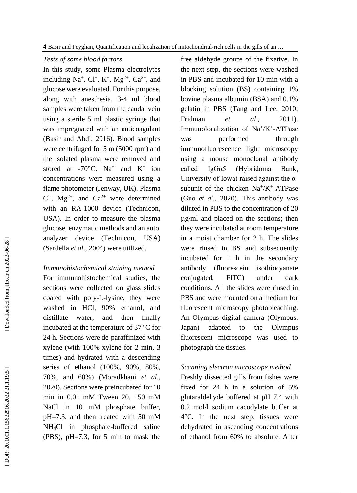#### *Tests of some blood factors*

In this study, some Plasma electrolytes including Na<sup>+</sup>, Cl<sup>+</sup>, K<sup>+</sup>, Mg<sup>2+</sup>, Ca<sup>2+</sup>, and glucose were evaluated. For this purpose, along with anesthesia, 3 -4 ml blood samples were taken from the caudal vein using a sterile 5 ml plastic syringe that was impregnated with an anticoagulant (Basir and Abdi, 2016). Blood samples were centrifuged for 5 m (5000 rpm) and the isolated plasma were removed and stored at -70 $^{\circ}$ C. Na<sup>+</sup> and K<sup>+</sup> ion concentrations were measured using a flame photometer (Jenway, UK). Plasma Cl<sup>-</sup>, Mg<sup>2+</sup>, and Ca<sup>2+</sup> were determined with an RA -1000 device (Technicon, USA). In order to measure the plasma glucose, enzymatic methods and an auto analyzer device (Technicon, USA) (Sardella *et al*., 2004) were utilized .

# *Immunohistochemical staining method*

For immunohistochemical studies, the sections were collected on glass slides coated with poly - L -lysine, they were washed in HCl, 90% ethanol, and distillate water, and then finally incubated at the temperature of 37º C for 24 h. Sections were de -paraffinized with xylene (with 100% xylene for 2 min, 3 times) and hydrated with a descending series of ethanol (100%, 90%, 80%, 70%, and 60%) (Moradkhani *et al*., 2020 ). Sections were preincubated for 10 min in 0.01 mM Tween 20, 150 mM NaCl in 10 mM phosphate buffer, pH=7.3, and then treated with 50 mM NH <sup>4</sup>Cl in phosphate -buffered saline (PBS), pH=7.3, for 5 min to mask the

free aldehyde groups of the fixative. In the next step, the sections were washed in PBS and incubated for 10 min with a blocking solution (BS) containing 1% bovine plasma albumin (BSA) and 0.1% gelatin in PBS (Tang and Lee, 2010; Fridman *et al*., 2011). Immunolocalization of Na<sup>+</sup>/K<sup>+</sup>-ATPase was performed through immunofluorescence light microscopy using a mouse monoclonal antibody called IgGα5 (Hybridoma Bank, University of Iowa) raised against the  $\alpha$ subunit of the chicken  $Na^+/K^+$ -ATPase (Guo *et al*., 2020). This antibody was diluted in PBS to the concentration of 20 µg /ml and placed on the sections; then they were incubated at room temperature in a moist chamber for 2 h. The slides were rinsed in BS and subsequently incubated for 1 h in the secondary antibody (fluorescein isothiocyanate conjugated, FITC) under dark conditions. All the slides were rinsed in PBS and were mounted on a medium for fluorescent microscopy photobleaching. An Olympus digital camera (Olympus. Japan) adapted to the Olympus fluorescent microscope was used to photograph the tissues.

# *Scanning electron microscope method*

Freshly dissected gills from fishes were fixed for 24 h in a solution of 5% glutaraldehyde buffered at pH 7.4 with 0.2 mol /l sodium cacodylate buffer at 4°C. In the next step, tissues were dehydrated in ascending concentrations of ethanol from 60% to absolute. After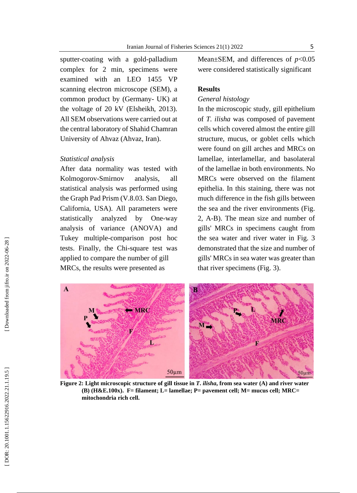sputter -coating with a gold -palladium complex for 2 min, specimens were examined with an LEO 1455 VP scanning electron microscope (SEM), a common product by (Germany - UK) at the voltage of 20 kV (Elsheikh, 2013). All SEM observations were carried out at the central laboratory of Shahid Chamran University of Ahvaz (Ahvaz, Iran).

#### *Statistical analysis*

After data normality was tested with Kolmogorov -Smirnov analysis, all statistical analysis was performed using the Graph Pad Prism (V.8.03. San Diego, California, USA). All parameters were statistically analyzed by One-way analysis of variance (ANOVA) and Tukey multiple -comparison post hoc tests. Finally, the Chi -square test was applied to compare the number of gill MRCs, the results were presented as

Mean±SEM, and differences of *p*<0.05 were considered statistically significant

# **Results**

#### *General histology*

In the microsco pic study, gill epithelium of *T. ilisha* was composed of pavement cells which covered almost the entire gill structure, mucus, or goblet cells which were found on gill arches and MRCs on lamellae, interlamellar, and basolateral of the lamellae in both environments. No MRCs were observed on the filament epithelia. In this staining, there was not much difference in the fish gills between the sea and the river environments (Fig . 2, A -B). The mean size and number of gills' MRCs in specimens caught from the sea water and river water in Fig . 3 demonstrated that the size and number of gills' MRCs in sea water was greater than that river specimens (Fig . 3).



**Figure 2: Light microscopic structure of gill tissue in**  *T* **.** *ilisha* **, from sea water (A) and river water (B) (H&E.100x). F= filament; L= lamellae; P= pavement cell; M= mucus cell; MRC= mitochondria rich cell.**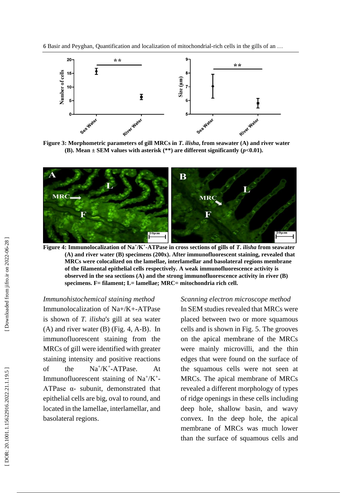

**Figure 3: Morphometric parameters of gill MRCs in**  *T* **.** *ilisha***, from seawater (A) and river water (B). Mean**  $\pm$  **SEM** values with asterisk (\*\*) are different significantly ( $p$ <0.01).



**Figure 4: Immunolocalization of Na + /K + -ATPase in cross sections of gills of**  *T* **.** *ilisha* **from seawater (A) and river water (B) specimens (200x) . After immunofluorescent staining, revealed that MRCs were colocalized on the lamellae, interlamellar and basolateral regions membrane of the filamental epithelial cells respectively. A weak immunofluorescence activity is observed in the sea sections (A) and the strong immunofluorescence activity in river (B) specimens . F= filament; L= lamellae; MRC= mitochondria rich cel l .**

*Immunohistochemical staining method* Immunolocalization of Na+/K+ -ATPase is shown of *T. ilisha*'*s* gill at sea water  $(A)$  and river water  $(B)$  (Fig. 4, A-B). In immunofluorescent staining from the MRCs of gill were identified with greater staining intensity and positive reactions of the  $^{\dagger}/K^{\dagger}$ -ATPase. At Immunofluorescent staining of Na<sup>+</sup>/K<sup>+</sup>-ATPase  $\alpha$ - subunit, demonstrated that epithelial cells are big, oval to round, and located in the lamellae, interlamellar, and basolateral regions.

#### *Scanning electron microscope method*

In SEM studies revealed that MRCs were placed between two or more squamous cells and is shown in Fig. 5 . The grooves on the apical membrane of the MRCs were mainly microvilli, and the thin edges that were found on the surface of the squamous cells were not seen at MRCs. The apical membrane of MRCs revealed a different morphology of types of ridge openings in these cells including deep hole, shallow basin, and wavy convex. In the deep hole, the apical membrane of MRCs was much lower than the surface of squamous cells and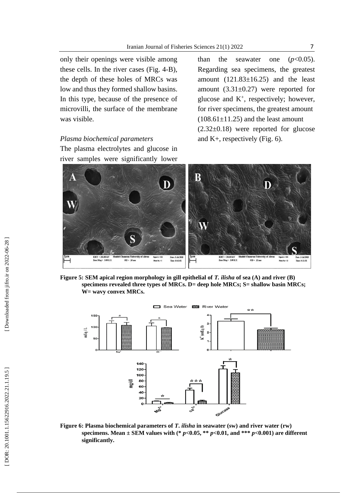only their openings were visible among these cells. In the river cases (Fig. 4-B), the depth of these holes of MRCs was low and thus they formed shallow basins. In this type, because of the presence of microvilli, the surface of the membrane was visible .

## *Plasma biochemical parameters*

The plasma electrolytes and glucose in river samples were significantly lower

than the seawater one  $(p<0.05)$ . Regarding sea specimens, the greatest amount  $(121.83 \pm 16.25)$  and the least amount  $(3.31\pm0.27)$  were reported for glucose and  $K^+$ , respectively; however, for river specimens, the greatest amount  $(108.61\pm11.25)$  and the least amount  $(2.32\pm0.18)$  were reported for glucose and K+, respectively (Fig. 6) .



**Figure 5: SEM apical region morphology in gill epithelial of** *T. ilisha* **of sea (A) and river (B) specimens revealed three types of MRCs. D= deep hole MRCs; S= shallow basin MRCs; W= wavy convex MRCs.**



**Figure 6: Plasma biochemical parameters of**  *T* **.** *ilisha* **in seawater (sw) and river water (rw) specimens. Mean ± SEM values with (\***  *p***<0.05, \*\***  *p***<0.01, and \*\*\***  *p***<0.001) are different significantly.**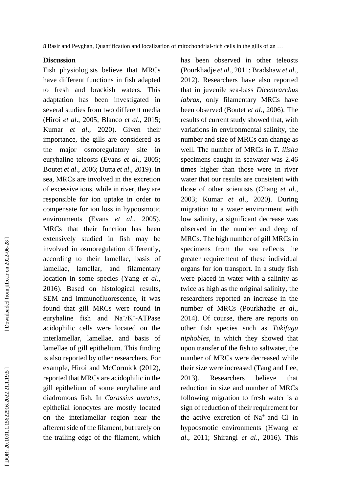## **Discussion**

Fish physiologists believe that MRCs have different functions in fish adapted to fresh and brackish waters. This adaptation has been investigated in several studies from two different media (Hiroi *et al*., 2005 ; Blanco *et al*., 2015; Kumar *et al*., 2020). Given their importance, the gills are considered as the major osmoregulatory site euryhaline teleosts (Evans *et al*., 2005; Boutet *et al*., 2006; Dutta *et al*., 2019). In sea, MRCs are involved in the excretion of excessive ions, while in river, they are responsible for ion uptake in order to compensate for ion loss in hypoosmotic environments (Evans *et al*., 2005). MRCs that their function has been extensively studied in fish may be involved in osmoregulation differently, according to their lamellae, basis of lamellae, lamellar, and filamentary location in some species (Yang et al., 2016). Based on histological results, SEM and immunofluorescence, it was found that gill MRCs were round in euryhaline fish and  $Na^+/K^+$ -ATPase acidophilic cells were located on the interlamellar, lamellae, and basis of lamellae of gill epithelium. This finding is also reported by other researchers. For example, Hiroi and McCormick (2012) , reported that MRCs are acidophilic in the gill epithelium of some euryhaline and diadromous fish. In *Carassius auratus*, epithelial ionocytes are mostly located on the interlamellar region near the afferent side of the filament, but rarely on the trailing edge of the filament, which

has been observed in other teleosts (Pourkhadje *et al*., 2011; Bradshaw *et al*., 2012). Researchers have also reported that in juvenile sea -bass *Dicentrarchus labrax*, only filamentary MRCs have been observed (Boutet *et al*., 2006). The results of current study showed that, with variations in environmental salinity, the number and size of MRCs can change as well. The number of MRCs in *T. ilisha* specimens caught in seawater was 2.46 times higher than those were in river water that our results are consistent with those of other scientists (Chang *et al*., 2003; Kumar *et al*., 2020). During migration to a water environment with low salinity, a significant decrease was observed in the number and deep of MRCs. The high number of gill MRCs in specimens from the sea reflects the greater requirement of these individual organs for ion transport. In a study fish were placed in water with a salinity as twice as high as the original salinity, the researchers reported an increase in the number of MRCs (Pourkhadje *et al*., 201 4). Of course, there are reports on other fish species such as *Takifugu niphobles*, in which they showed that upon transfer of the fish to saltwater, the number of MRCs were decreased while their size were increased (Tang and Lee , 2013). Researchers believe that reduction in size and number of MRCs following migration to fresh water is a sign of reduction of their requirement for the active excretion of Na<sup>+</sup> and Cl<sup>-</sup> in hypoosmotic environments (Hwang *et al* . , 2011; Shirangi *et al* . , 2016). This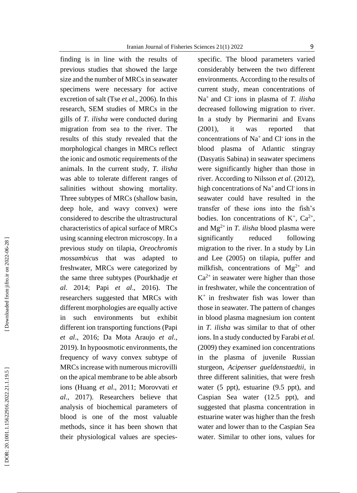finding is in line with the results of previous studies that showed the large size and the number of MRCs in seawater specimens were necessary for active excretion of salt (Tse *et al* . , 2006). In this research, SEM studies of MRCs in the gills of *T. ilisha* were conducted during migration from sea to the river. The results of this study revealed that the morphological changes in MRCs reflect the ionic and osmotic requirements of the animals. In the current study, *T. ilisha* was able to tolerate different ranges of salinities without showing mortality. Three subtypes of MRCs (shallow basin, deep hole, and wavy convex) were considered to describe the ultrastructural characteristics of apical surface of MRCs using scanning [electron microscopy.](http://www.scialert.net/asci/result.php?searchin=Keywords&cat=&ascicat=ALL&Submit=Search&keyword=electron+microscopy) In a previous study on tilapia*, Oreochromis mossambicus* that was adapted to freshwater, MRCs were categorized by the same three subtypes (Pourkhadje *et al* . 2014; Papi *et al*., 2016 ). The researchers suggested that MRCs with different morphologies are equally active in such environments but exhibit different ion transporting functions (Papi *et al*., 2016; Da Mota Araujo *et al* . , 2019). In hypoosmotic environments, the frequency of wavy convex subtype of MRCs increase with numerous microvilli on the apical membrane to be able absorb ions (Huang *et al* . , 201 1; Morovvati *et al*., 2017). Researchers believe that analysis of biochemical parameters of blood is one of the most valuable methods, since it has been shown that their physiological values are species -

specific. The blood parameters varied considerably between the two different environments. According to the results of current study, mean concentrations of Na<sup>+</sup> and Cl<sup>-</sup> ions in plasma of *T. ilisha* decreased following migration to river. In a study by Piermarini and Evans (2001), it was reported that concentrations of  $Na<sup>+</sup>$  and Cl<sup>-</sup> ions in the blood plasma of Atlantic stingray (Dasyatis Sabina) in seawater specimens were significantly higher than those in river. According to Nilsson *et al* . (2012) , high concentrations of Na<sup>+</sup> and Cl<sup>-</sup>ions in seawater could have resulted in the transfer of these ions into the fish's bodies. Ion concentrations of  $K^+$ ,  $Ca^{2+}$ , and Mg2+ in *T. ilisha* blood plasma were significantly reduced following migration to the river. In a study by Lin and Lee (2005) on tilapia, puffer and milkfish, concentrations of  $Mg^{2+}$  and  $Ca^{2+}$  in seawater were higher than those in freshwater, while the concentration of  $K^+$  in freshwater fish was lower than those in seawater. The pattern of changes in blood plasma magnesium ion content in *T. ilisha* was similar to that of other ions. In a study conducted by Farabi *et al.* (2009) they examined ion concentrations in the plasma of juvenile Russian sturgeon, *Acipenser gueldenstaedtii* , in three different salinities, that were fresh water (5 ppt), estuarine (9.5 ppt), and Caspian Sea water (12.5 ppt), and suggested that plasma concentration in estuarine water was higher than the fresh water and lower than to the Caspian Sea water. Similar to other ions, values for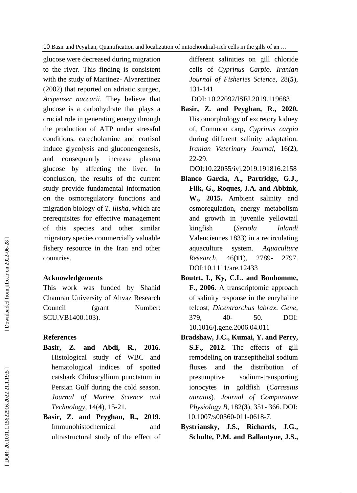glucose were decreased during migration to the river. This finding is consistent with the study of Martinez- Alvareztinez (2002) that reported on adriatic sturgeo, *Acipenser naccarii* . They believe that glucose is a carbohydrate that plays a crucial role in generating energy through the production of ATP under stressful conditions, catecholamine and cortisol induce glycolysis and gluconeogenesis, and consequently increase plasma glucose by affecting the liver. In conclusion, the results of the current study provide fundamental information on the osmoregulatory functions and migration biology of *T. ilisha*, which are prerequisites for effective management of this species and other similar migratory species commercially valuable fishery resource in the Iran and other countries .

# **Acknowledgements**

This work was funded by Shahid Chamran University of Ahvaz Research Council (grant Number: SCU.VB1400.103).

#### **References**

- Basir, Z. and Abdi, R., *.* Histological study of WBC and hematological indices of spotted catshark Chiloscyllium punctatum in Persian Gulf during the cold season. *Journal of Marine Science and Technology*, 14( **4**), 15 -21.
- **Basir, Z. and Peyghan, R., 2019.** Immunohistochemical and ultrastructural study of the effect of

different salinities on gill chloride cells of *Cyprinus Carpio*. *Iranian Journal of Fisheries Science*, 28( **5**), 131 -141.

DOI: 10.22092/ISFJ.2019.119683

**Basir, Z. and Peyghan, R., 2020.** Histomorphology of excretory kidney of, Common carp, *Cyprinus carpio* during different salinity adaptation. *Iranian Veterinary Journal*, 16( **2**), 22 -29.

DOI:10.22055/ivj.2019.191816.2158

- **Blanco Garcia, A., Partridge, G.J., Flik, G., Roques, J.A. and Abbink, W., 2015.** Ambient salinity and osmoregulation, energy metabolism and growth in juvenile yellowtail kingfish (*Seriola lalandi* Valenciennes 1833) in a recirculating aquaculture system. *Aquaculture Research,* 46(**11**), 2789 - 2797. [DOI:10.1111/are.12433](https://doi.org/10.1111/are.12433)
- **Boutet, I., Ky, C.L. and Bonhomme, F., 2006.** A transcriptomic approach of salinity response in the euryhaline teleost, *Dicentrarchus labrax*. *Gene*, 379, 40 - 50. DOI : [10.1016/j.gene.2006.04.011](https://doi.org/10.1016/j.gene.2006.04.011)
- **Bradshaw, J.C., Kumai, Y. and Perry, S.F., 2012.** The effects of gill remodeling on transepithelial sodium fluxes and the distribution of presumptive sodium-transporting ionocytes in goldfish (*Carassius auratus*). *Journal of Comparative Physiology B*, 182( **3**), 351 - 366. DOI: [10.1007/s00360](https://doi.org/10.1007/s00360-011-0618-7) -011 -0618 - 7 .
- **Bystriansky, J.S., Richards, J.G., Schulte, P.M. and Ballantyne, J.S.,**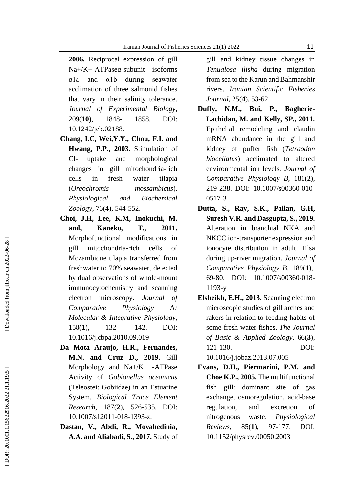**2006.** Reciprocal expression of gill Na+/K+ -ATPaseα -subunit isoforms α1a and α1b during seawater acclimation of three salmonid fishes that vary in their salinity tolerance. *Journal of Experimental Biology,*  209(**10**), 1848 1858. DOI: [10.1242/jeb.02188](https://doi.org/10.1242/jeb.02188) .

- **Chang, I.C, Wei,Y.Y., Chou, F.I. and Hwang, P.P., 2003.** Stimulation of Cl - uptake and morphological changes in gill mitochondria -rich cells in fresh water tilapia (*Oreochromis mossambicus*). *Physiological and Biochemical Zoology*, 76( **4**), 544 -552 .
- **Choi, J.H, Lee, K.M, Inokuchi, M. and, Kaneko, T., 2011.** Morphofunctional modifications in gill mitochondria -rich cells of Mozambique tilapia transferred from freshwater to 70% seawater, detected by dual observations of whole -mount immunocytochemistry and scanning electron microscopy. *Journal of Comparative Physiology* A*: Molecular & Integrative Physiology*,  $158(1)$ . **1**), 132 142. DOI: [10.1016/j.cbpa.2010.09.019](https://doi.org/10.1016/j.cbpa.2010.09.019)
- **Da Mota Araujo, H.R., Fernandes, M.N. and Cruz D., 2019.** Gill Morphology and  $Na + / K$  +-ATPase Activity of *Gobionellus oceanicus* (Teleostei: Gobiidae) in an Estuarine System. *Biological Trace Element Research*, 187( **2**), 526 -535 . DOI: [10.1007/s12011](https://doi.org/10.1007/s12011-018-1393-z) -018 -1393 - z .
- **Dastan, V., Abdi, R., Movahedinia, A.A. and Aliabadi, S., 2017.** Study of

gill and kidney tissue changes in *Tenualosa ilisha* during migration from sea to the Karun and Bahmanshir rivers. *Iranian Scientific Fisheries Journal,* 25( **4**), 53 -62.

- **Duffy, N.M., Bui, P., Bagherie - Lachidan, M. and Kelly, SP., 2011.** Epithelial remodeling and claudin mRNA abundance in the gill and kidney of puffer fish (*Tetraodon biocellatus*) acclimated to altered environmental ion levels. *Journal of Comparative Physiology B*, 181( **2**), 219 -238. DOI: [10.1007/s00360](https://doi.org/10.1007/s00360-010-0517-3) -010 - [0517](https://doi.org/10.1007/s00360-010-0517-3) - 3
- **Dutta, S., Ray, S.K., Pailan, G.H, Suresh V.R. and Dasgupta, S., 2019.** Alteration in branchial NKA and NKCC ion -transporter expression and ionocyte distribution in adult Hilsa during up -river migration. *Journal of Comparative Physiology B*, 189( **1**), 69 -80. DOI: [10.1007/s00360](https://doi.org/10.1007/s00360-018-1193-y) -018 - [1193](https://doi.org/10.1007/s00360-018-1193-y) - y
- **Elsheikh, E.H., 2013.** Scanning electron microscopic studies of gill arches and rakers in relation to feeding habits of some fresh water fishes. *The Journal of Basic & Applied Zoology*, 66( **3**), 121 -130. DOI: [10.1016/j.jobaz.2013.07.005](https://doi.org/10.1016/j.jobaz.2013.07.005)
- **Evans, D.H., Piermarini, P.M. and Choe K.P., 2005.** The multifunctional fish gill: dominant site of gas exchange, osmoregulation, acid -base regulation, and excretion of nitrogenous waste. *Physiological*   $Reviews$ ,  $85(1)$ , -177. DOI: [10.1152/physrev.00050.2003](https://doi.org/10.1152/physrev.00050.2003)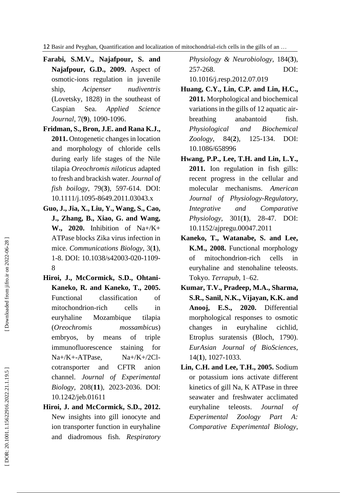- **Farabi, S.M.V., Najafpour, S. and Najafpour, G.D., 2009.** Aspect of osmotic -ions regulation in juvenile ship, *Acipenser nudiventris* (Lovetsky, 1828) in the southeast of Caspian Sea. *Applied Science Journal,* 7( **9**), 1090 -1096.
- **Fridman, S., Bron, J.E. and Rana K.J., 2011.** Ontogenetic changes in location and morphology of chloride cells during early life stages of the Nile tilapia *Oreochromis niloticus* adapted to fresh and brackish water. *Journal of fish boilogy*, 79( **3**), 597 -614. DOI: 10.1111/j.1095 [-8649.2011.03043.x](https://doi.org/10.1111/j.1095-8649.2011.03043.x)
- **Guo, J., Jia, X., Liu, Y., Wang, S., Cao, J., Zhang, B., Xiao, G. and Wang, W., 2020.** Inhibition of Na+/K+ ATPase blocks Zika virus infection in mice. *Communications Biology*, 3( **1**), 1 -8. DOI: [10.1038/s42003](https://doi.org/10.1038/s42003-020-1109-8) -020 -1109 - [8](https://doi.org/10.1038/s42003-020-1109-8)
- **Hiroi, J., McCormick, S.D., Ohtani - Kaneko, R. and Kaneko, T., 2005 .** Functional classification of mitochondrion -rich cells in euryhaline Mozambique tilapia (*Oreochromis mossambicus*) embryos, by means of triple immunofluorescence staining for Na+/K+-ATPase. -ATPase, Na+/K+/2Clcotransporter and CFTR anion channel. *Journal of Experimental Biology,* 208(**11**), 2023 -2036. DOI: [10.1242/jeb.01611](https://doi.org/10.1242/jeb.01611)
- **Hiroi, J. and McCormick, S.D., 2012.** New insights into gill ionocyte and ion transporter function in euryhaline and diadromous fish. *Respiratory*

*Physiology & Neurobiology*, 184( **3**), 257 -268. [DOI:](https://doi.org/10.1016/j.resp.2012.07.019)  [10.1016/j.resp.2012.07.019](https://doi.org/10.1016/j.resp.2012.07.019)

- **Huang, C.Y., Lin, C.P. and Lin, H.C., 2011.** Morphological and biochemical variations in the gills of 12 aquatic air breathing anabantoid fish. *Physiological and Biochemical Zoology*, 84( **2**), 125 -134. DOI: 10.1086/658996
- **Hwang, P.P., Lee, T.H. and Lin, L.Y., 2011.** [Ion regulation in](http://refhub.elsevier.com/S1095-6433\(15\)00059-8/rf0095) [fish gills:](http://refhub.elsevier.com/S1095-6433\(15\)00059-8/rf0095)  [recent progress in the cellular and](http://refhub.elsevier.com/S1095-6433\(15\)00059-8/rf0095)  [molecular mechanisms.](http://refhub.elsevier.com/S1095-6433\(15\)00059-8/rf0095) *American Journal of Physiology -Regulatory, Integrative and Comparative*   $Physiology,$ **1**), 28 -47. DOI: [10.1152/ajpregu.00047.2011](https://doi.org/10.1152/ajpregu.00047.2011)
- **Kaneko, T., Watanabe, S. and Lee, K.M., 2008.** Functional morphology of mitochondrion -rich cells in euryhaline and stenohaline teleosts. Tokyo. *Terrapub* , 1 –62.
- **Kumar, T.V., Pradeep, M.A., Sharma, S.R., Sanil, N.K., Vijayan, K.K. and Anooj, E.S., 2020.** Differential morphological responses to osmotic<br>changes in euryhaline cichlid, Etroplus suratensis (Bloch, 1790). *EurAsian Journal of BioSciences*, 14( **1**), 1027 -1033.
- **Lin, C.H. and Lee, T.H., 2005.** Sodium or potassium ions activate different kinetics of gill Na, K ATPase in three seawater and freshwater acclimated euryhaline teleosts. *Journal of Experimental Zoology Part A: Comparative Experimental Biology*,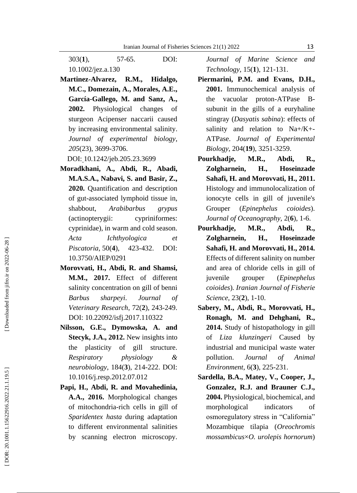303( **1**), 57 -65. DOI: [10.1002/jez.a.130](https://doi.org/10.1002/jez.a.130)

**Martinez -Alvarez, R.M., Hidalgo, M.C., Domezain, A., Morales, A.E., García -Gallego, M. and Sanz, A., 2002.** Physiological changes of sturgeon Acipenser naccarii caused by increasing environmental salinity. *Journal of experimental biology*, *205*(23), 3699 -3706.

DOI: [10.1242/jeb.205.23.3699](https://doi.org/10.1242/jeb.205.23.3699)

- **Moradkhani, A., Abdi, R., Abadi, M.A.S.A., Nabavi, S. and Basir, Z., 2020.** Quantification and description of gut -associated lymphoid tissue in, shabbout, *Arabibarbus grypus* (actinopterygii: cypriniformes: cyprinidae), in warm and cold season. *Acta Ichthyologica et Piscatoria* , 50( **4**), 423 DOI: 10.3750/AIEP/0291
- **Morovvati, H., Abdi, R. and Shamsi, M.M., 2017.** Effect of different salinity concentration on gill of benni *Barbus sharpeyi*. *Journal of Veterinary Research*, 72( **2**), 243 -249. DOI: [10.22092/isfj.2017.110322](https://dx.doi.org/10.22092/isfj.2017.110322)
- **Nilsson, G.E., Dymowska, A. and Stecyk, J.A., 2012.** New insights into the plasticity of gill structure. *Respiratory physiology & neurobiology*, 184( **3**), 214 -222. DOI: [10.1016/j.resp.2012.07.012](https://doi.org/10.1016/j.resp.2012.07.012)
- **Papi, H., Abdi, R. and Movahedinia, A.A., 2016.** Morphological changes of mitochondria -rich cells in gill of *Sparidentex hasta* during adaptation to different environmental salinities by scanning electron microscopy.

*Journal of Marine Science and Technology*, 15( **1**), 121 -131.

- **Piermarini, P.M. and Evans, D.H., 2001.** Immunochemical analysis of the vacuolar proton-ATPase  $B$ subunit in the gills of a euryhaline stingray (*Dasyatis sabina*): effects of salinity and relation to Na+/K+-ATPase. *Journal of Experimental Biology*, 204(**19**), 3251 -3259.
- **Pourkhadje, M.R., Abdi, R., Zolgharnein, H., Hoseinzade Sahafi, H. and Morovvati, H., 2011.** Histology and immunolocalization of ionocyte cells in gill of juvenile's Grouper (*Epinephelus* ) . *Journal of Oceanography,* 2( **6**), 1 -6.
- **Pourkhadje, M.R., Abdi, R., Zolgharnein, H., Hoseinzade Sahafi, H. and Morovvati, H., 2014.** Effects of different salinity on number and area of chloride cells in gill of juvenile grouper (*Epinephelus coioides*). *Iranian Journal of Fisherie Science* , 23( **2**), 1 -10.
- **Sabery, M., Abdi, R., Morovvati, H., Ronagh, M. and Dehghani, R., 2014.** Study of histopathology in gill of *Liza klunzingeri* Caused by industrial and municipal waste water pollution. *Journal of Animal Environment*, 6( **3**), 225 -231 .
- **Sardella, B.A., Matey, V., Cooper, J., Gonzalez, R.J. and Brauner C.J., 2004.** Physiological, biochemical, and morphological indicators of osmoregulatory stress in "California" Mozambique tilapia (*Oreochromis mossambicus* ×*O. urolepis hornorum*)